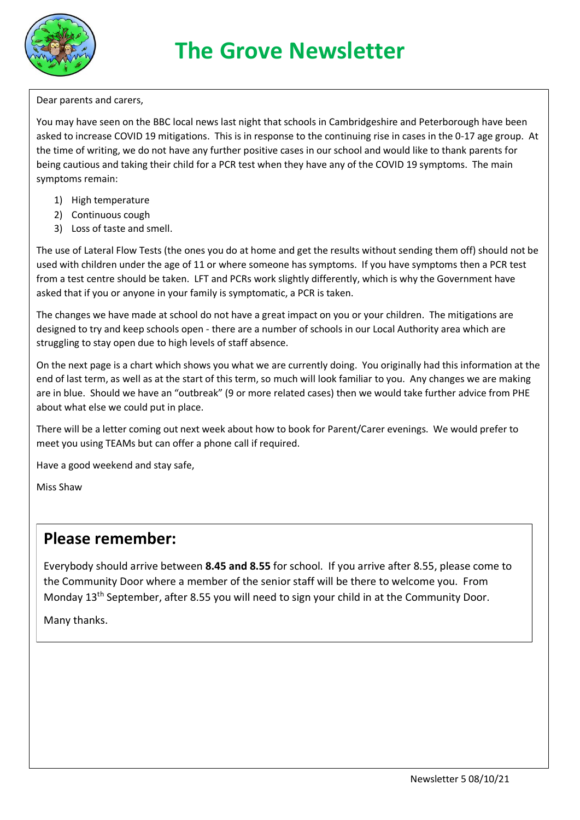

# **The Grove Newsletter**

Dear parents and carers,

You may have seen on the BBC local news last night that schools in Cambridgeshire and Peterborough have been asked to increase COVID 19 mitigations. This is in response to the continuing rise in cases in the 0-17 age group. At the time of writing, we do not have any further positive cases in our school and would like to thank parents for being cautious and taking their child for a PCR test when they have any of the COVID 19 symptoms. The main symptoms remain:

- 1) High temperature
- 2) Continuous cough
- 3) Loss of taste and smell.

The use of Lateral Flow Tests (the ones you do at home and get the results without sending them off) should not be used with children under the age of 11 or where someone has symptoms. If you have symptoms then a PCR test from a test centre should be taken. LFT and PCRs work slightly differently, which is why the Government have asked that if you or anyone in your family is symptomatic, a PCR is taken.

The changes we have made at school do not have a great impact on you or your children. The mitigations are designed to try and keep schools open - there are a number of schools in our Local Authority area which are struggling to stay open due to high levels of staff absence.

On the next page is a chart which shows you what we are currently doing. You originally had this information at the end of last term, as well as at the start of this term, so much will look familiar to you. Any changes we are making are in blue. Should we have an "outbreak" (9 or more related cases) then we would take further advice from PHE about what else we could put in place.

There will be a letter coming out next week about how to book for Parent/Carer evenings. We would prefer to meet you using TEAMs but can offer a phone call if required.

Have a good weekend and stay safe,

Miss Shaw

### **Please remember:**

Everybody should arrive between **8.45 and 8.55** for school. If you arrive after 8.55, please come to the Community Door where a member of the senior staff will be there to welcome you. From Monday 13<sup>th</sup> September, after 8.55 you will need to sign your child in at the Community Door.

Many thanks.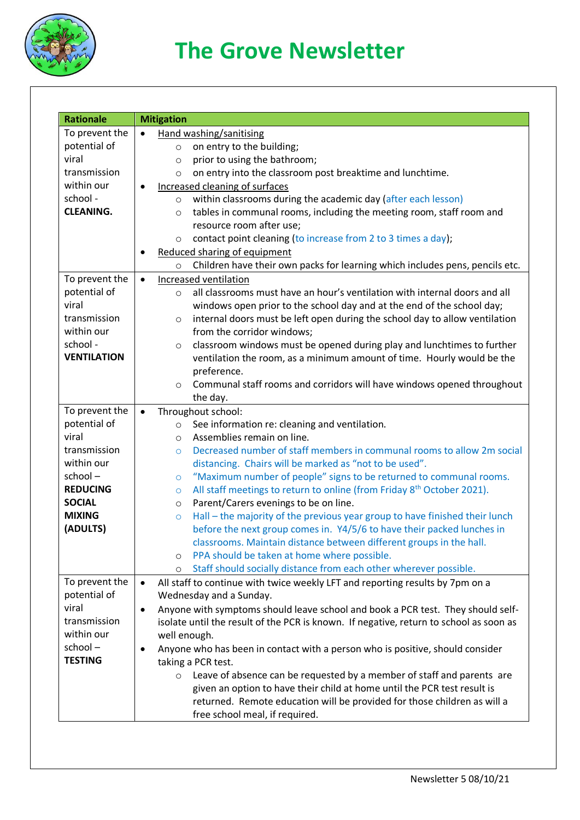

# **The Grove Newsletter**

| <b>Rationale</b>   | <b>Mitigation</b>                                                                             |
|--------------------|-----------------------------------------------------------------------------------------------|
| To prevent the     | Hand washing/sanitising                                                                       |
| potential of       | on entry to the building;<br>$\circ$                                                          |
| viral              | prior to using the bathroom;<br>$\circ$                                                       |
| transmission       | on entry into the classroom post breaktime and lunchtime.<br>$\circ$                          |
| within our         | Increased cleaning of surfaces<br>$\bullet$                                                   |
| school -           | within classrooms during the academic day (after each lesson)<br>$\circ$                      |
| <b>CLEANING.</b>   | tables in communal rooms, including the meeting room, staff room and<br>$\circ$               |
|                    | resource room after use;                                                                      |
|                    | contact point cleaning (to increase from 2 to 3 times a day);<br>$\circ$                      |
|                    | Reduced sharing of equipment                                                                  |
|                    |                                                                                               |
|                    | Children have their own packs for learning which includes pens, pencils etc.<br>$\circ$       |
| To prevent the     | Increased ventilation<br>$\bullet$                                                            |
| potential of       | all classrooms must have an hour's ventilation with internal doors and all<br>$\circ$         |
| viral              | windows open prior to the school day and at the end of the school day;                        |
| transmission       | internal doors must be left open during the school day to allow ventilation<br>$\circ$        |
| within our         | from the corridor windows;                                                                    |
| school -           | classroom windows must be opened during play and lunchtimes to further<br>$\circ$             |
| <b>VENTILATION</b> | ventilation the room, as a minimum amount of time. Hourly would be the                        |
|                    | preference.                                                                                   |
|                    | Communal staff rooms and corridors will have windows opened throughout<br>$\circ$             |
|                    | the day.                                                                                      |
| To prevent the     | Throughout school:<br>$\bullet$                                                               |
| potential of       | See information re: cleaning and ventilation.<br>$\circ$                                      |
| viral              | Assemblies remain on line.<br>$\circ$                                                         |
| transmission       | Decreased number of staff members in communal rooms to allow 2m social<br>$\Omega$            |
| within our         | distancing. Chairs will be marked as "not to be used".                                        |
| school-            | "Maximum number of people" signs to be returned to communal rooms.<br>$\circ$                 |
| <b>REDUCING</b>    | All staff meetings to return to online (from Friday 8 <sup>th</sup> October 2021).<br>$\circ$ |
| <b>SOCIAL</b>      | Parent/Carers evenings to be on line.<br>$\circ$                                              |
| <b>MIXING</b>      | Hall – the majority of the previous year group to have finished their lunch<br>$\circ$        |
| (ADULTS)           | before the next group comes in. Y4/5/6 to have their packed lunches in                        |
|                    | classrooms. Maintain distance between different groups in the hall.                           |
|                    | PPA should be taken at home where possible.<br>$\circ$                                        |
|                    | Staff should socially distance from each other wherever possible.<br>$\circ$                  |
| To prevent the     | All staff to continue with twice weekly LFT and reporting results by 7pm on a                 |
| potential of       | Wednesday and a Sunday.                                                                       |
| viral              | Anyone with symptoms should leave school and book a PCR test. They should self-<br>$\bullet$  |
| transmission       | isolate until the result of the PCR is known. If negative, return to school as soon as        |
| within our         | well enough.                                                                                  |
| school-            | Anyone who has been in contact with a person who is positive, should consider                 |
| <b>TESTING</b>     | taking a PCR test.                                                                            |
|                    | Leave of absence can be requested by a member of staff and parents are<br>$\circ$             |
|                    | given an option to have their child at home until the PCR test result is                      |
|                    | returned. Remote education will be provided for those children as will a                      |
|                    | free school meal, if required.                                                                |
|                    |                                                                                               |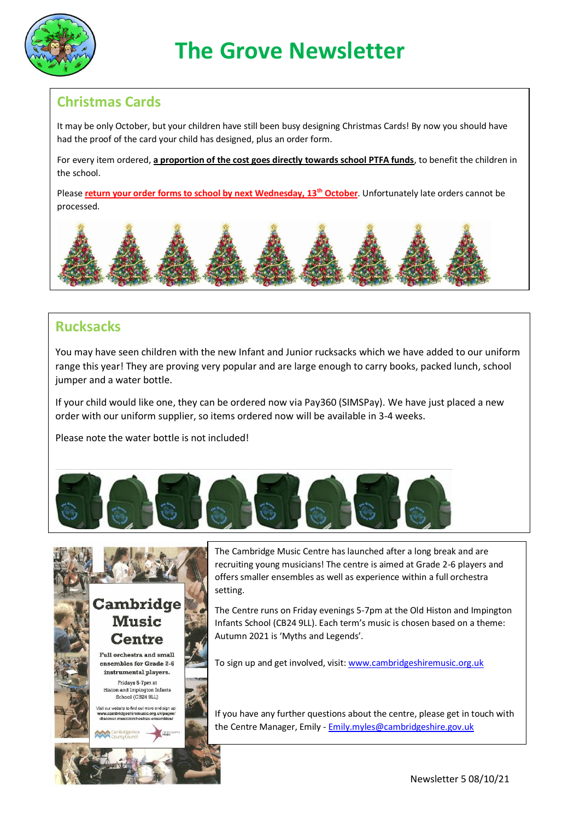

#### **Christmas Cards**

It may be only October, but your children have still been busy designing Christmas Cards! By now you should have had the proof of the card your child has designed, plus an order form.

For every item ordered, **a proportion of the cost goes directly towards school PTFA funds**, to benefit the children in the school.

Please **return your order forms to school by next Wednesday, 13th October**. Unfortunately late orders cannot be processed.



#### **Rucksacks**

You may have seen children with the new Infant and Junior rucksacks which we have added to our uniform range this year! They are proving very popular and are large enough to carry books, packed lunch, school jumper and a water bottle.

If your child would like one, they can be ordered now via Pay360 (SIMSPay). We have just placed a new order with our uniform supplier, so items ordered now will be available in 3-4 weeks.

Please note the water bottle is not included!





The Cambridge Music Centre has launched after a long break and are recruiting young musicians! The centre is aimed at Grade 2-6 players and offers smaller ensembles as well as experience within a full orchestra setting.

The Centre runs on Friday evenings 5-7pm at the Old Histon and Impington Infants School (CB24 9LL). Each term's music is chosen based on a theme: Autumn 2021 is 'Myths and Legends'.

To sign up and get involved, visit: [www.cambridgeshiremusic.org.uk](http://www.cambridgeshiremusic.org.uk/)

If you have any further questions about the centre, please get in touch with the Centre Manager, Emily - [Emily.myles@cambridgeshire.gov.uk](mailto:Emily.myles@cambridgeshire.gov.uk)